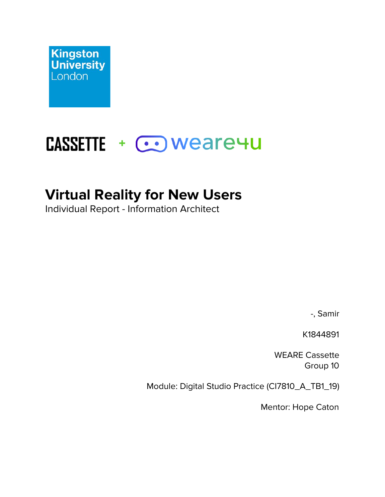

# **CASSETTE + COWeare4U**

## **Virtual Reality for New Users**

Individual Report - Information Architect

-, Samir

K1844891

WEARE Cassette Group 10

Module: Digital Studio Practice (CI7810\_A\_TB1\_19)

Mentor: Hope Caton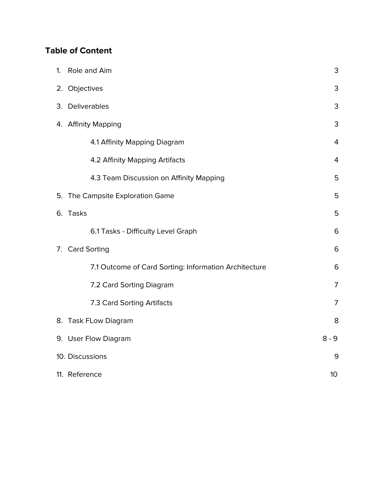### **Table of Content**

| 1. | Role and Aim                                          | 3              |
|----|-------------------------------------------------------|----------------|
|    | 2. Objectives                                         | 3              |
|    | 3. Deliverables                                       | 3              |
|    | 4. Affinity Mapping                                   | 3              |
|    | 4.1 Affinity Mapping Diagram                          | $\overline{4}$ |
|    | 4.2 Affinity Mapping Artifacts                        | $\overline{4}$ |
|    | 4.3 Team Discussion on Affinity Mapping               | 5              |
| 5. | The Campsite Exploration Game                         | 5              |
|    | 6. Tasks                                              | 5              |
|    | 6.1 Tasks - Difficulty Level Graph                    | 6              |
|    | 7. Card Sorting                                       | 6              |
|    | 7.1 Outcome of Card Sorting: Information Architecture | 6              |
|    | 7.2 Card Sorting Diagram                              | 7              |
|    | 7.3 Card Sorting Artifacts                            | 7              |
|    | 8. Task FLow Diagram                                  | 8              |
|    | 9. User Flow Diagram                                  | $8 - 9$        |
|    | 10. Discussions                                       | 9              |
|    | 11. Reference                                         | 10             |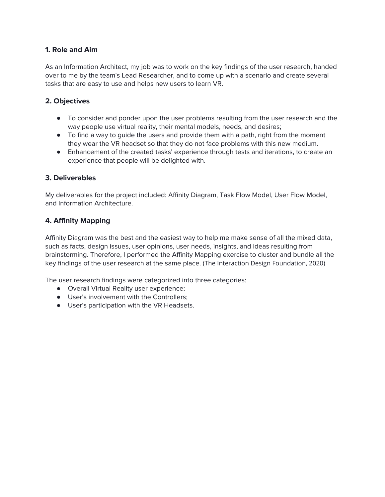#### **1. Role and Aim**

As an Information Architect, my job was to work on the key findings of the user research, handed over to me by the team's Lead Researcher, and to come up with a scenario and create several tasks that are easy to use and helps new users to learn VR.

#### **2. Objectives**

- To consider and ponder upon the user problems resulting from the user research and the way people use virtual reality, their mental models, needs, and desires;
- To find a way to guide the users and provide them with a path, right from the moment they wear the VR headset so that they do not face problems with this new medium.
- Enhancement of the created tasks' experience through tests and iterations, to create an experience that people will be delighted with.

#### **3. Deliverables**

My deliverables for the project included: Affinity Diagram, Task Flow Model, User Flow Model, and Information Architecture.

#### **4. Affinity Mapping**

Affinity Diagram was the best and the easiest way to help me make sense of all the mixed data, such as facts, design issues, user opinions, user needs, insights, and ideas resulting from brainstorming. Therefore, I performed the Affinity Mapping exercise to cluster and bundle all the key findings of the user research at the same place. (The Interaction Design Foundation, 2020)

The user research findings were categorized into three categories:

- Overall Virtual Reality user experience;
- User's involvement with the Controllers;
- User's participation with the VR Headsets.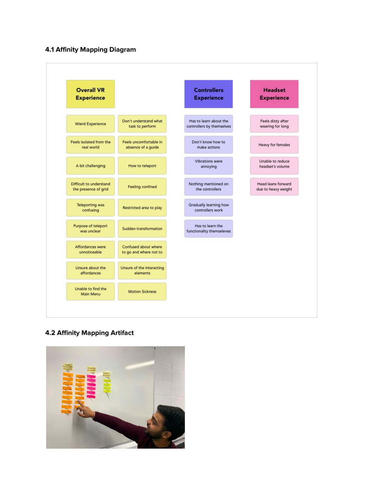#### **4.1 Affinity Mapping Diagram**



#### **4.2 Affinity Mapping Artifact**

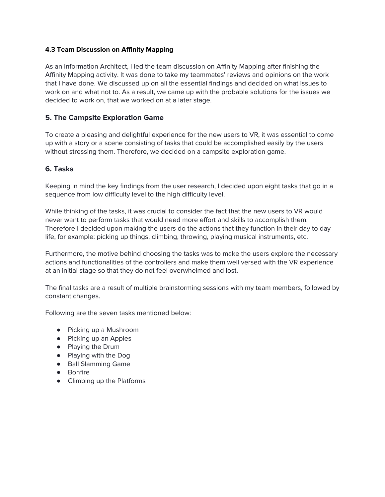#### **4.3 Team Discussion on Affinity Mapping**

As an Information Architect, I led the team discussion on Affinity Mapping after finishing the Affinity Mapping activity. It was done to take my teammates' reviews and opinions on the work that I have done. We discussed up on all the essential findings and decided on what issues to work on and what not to. As a result, we came up with the probable solutions for the issues we decided to work on, that we worked on at a later stage.

#### **5. The Campsite Exploration Game**

To create a pleasing and delightful experience for the new users to VR, it was essential to come up with a story or a scene consisting of tasks that could be accomplished easily by the users without stressing them. Therefore, we decided on a campsite exploration game.

#### **6. Tasks**

Keeping in mind the key findings from the user research, I decided upon eight tasks that go in a sequence from low difficulty level to the high difficulty level.

While thinking of the tasks, it was crucial to consider the fact that the new users to VR would never want to perform tasks that would need more effort and skills to accomplish them. Therefore I decided upon making the users do the actions that they function in their day to day life, for example: picking up things, climbing, throwing, playing musical instruments, etc.

Furthermore, the motive behind choosing the tasks was to make the users explore the necessary actions and functionalities of the controllers and make them well versed with the VR experience at an initial stage so that they do not feel overwhelmed and lost.

The final tasks are a result of multiple brainstorming sessions with my team members, followed by constant changes.

Following are the seven tasks mentioned below:

- Picking up a Mushroom
- Picking up an Apples
- Playing the Drum
- Playing with the Dog
- Ball Slamming Game
- Bonfire
- Climbing up the Platforms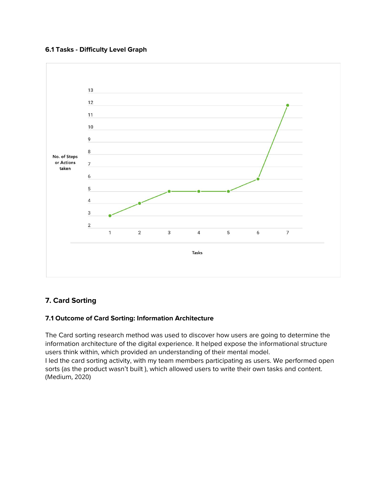#### **6.1 Tasks - Difficulty Level Graph**



#### **7. Card Sorting**

#### **7.1 Outcome of Card Sorting: Information Architecture**

The Card sorting research method was used to discover how users are going to determine the information architecture of the digital experience. It helped expose the informational structure users think within, which provided an understanding of their mental model. I led the card sorting activity, with my team members participating as users. We performed open sorts (as the product wasn't built ), which allowed users to write their own tasks and content. (Medium, 2020)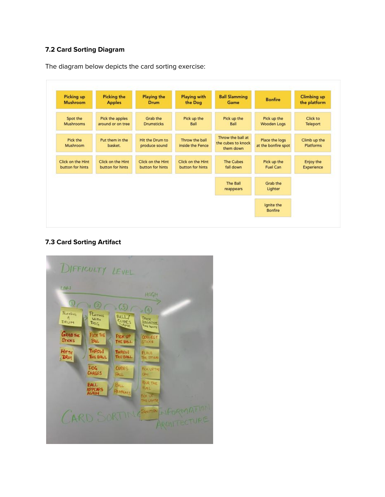#### **7.2 Card Sorting Diagram**

The diagram below depicts the card sorting exercise:



#### **7.3 Card Sorting Artifact**

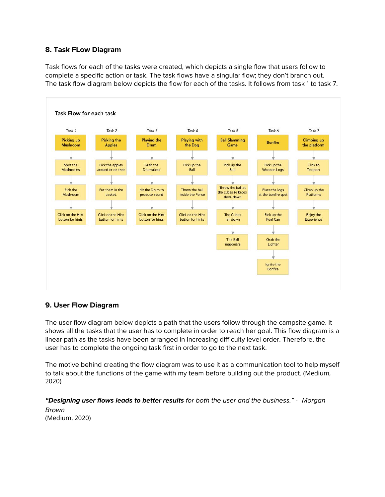#### **8. Task FLow Diagram**

Task flows for each of the tasks were created, which depicts a single flow that users follow to complete a specific action or task. The task flows have a singular flow; they don't branch out. The task flow diagram below depicts the flow for each of the tasks. It follows from task 1 to task 7.



#### **9. User Flow Diagram**

The user flow diagram below depicts a path that the users follow through the campsite game. It shows all the tasks that the user has to complete in order to reach her goal. This flow diagram is a linear path as the tasks have been arranged in increasing difficulty level order. Therefore, the user has to complete the ongoing task first in order to go to the next task.

The motive behind creating the flow diagram was to use it as a communication tool to help myself to talk about the functions of the game with my team before building out the product. (Medium, 2020)

**"Designing user flows leads to better results** for both the user and the business." - Morgan Brown (Medium, 2020)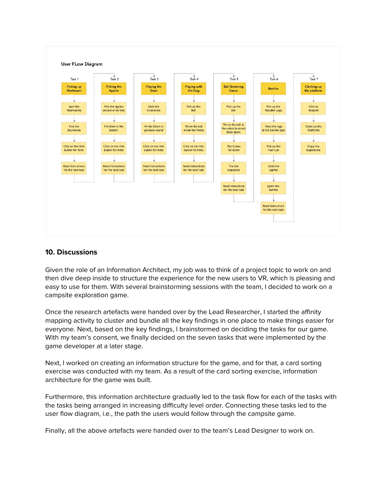

#### **10. Discussions**

Given the role of an Information Architect, my job was to think of a project topic to work on and then dive deep inside to structure the experience for the new users to VR, which is pleasing and easy to use for them. With several brainstorming sessions with the team, I decided to work on a campsite exploration game.

Once the research artefacts were handed over by the Lead Researcher, I started the affinity mapping activity to cluster and bundle all the key findings in one place to make things easier for everyone. Next, based on the key findings, I brainstormed on deciding the tasks for our game. With my team's consent, we finally decided on the seven tasks that were implemented by the game developer at a later stage.

Next, I worked on creating an information structure for the game, and for that, a card sorting exercise was conducted with my team. As a result of the card sorting exercise, information architecture for the game was built.

Furthermore, this information architecture gradually led to the task flow for each of the tasks with the tasks being arranged in increasing difficulty level order. Connecting these tasks led to the user flow diagram, i.e., the path the users would follow through the campsite game.

Finally, all the above artefacts were handed over to the team's Lead Designer to work on.